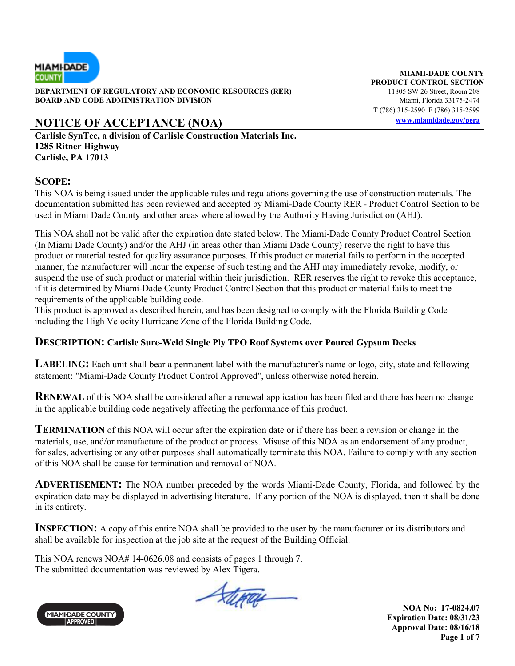

**DEPARTMENT OF REGULATORY AND ECONOMIC RESOURCES (RER)** 11805 SW 26 Street, Room 208 **BOARD AND CODE ADMINISTRATION DIVISION Miami, Florida 33175-2474** 

## **NOTICE OF ACCEPTANCE (NOA) www.miamidade.gov/pera**

**Carlisle SynTec, a division of Carlisle Construction Materials Inc. 1285 Ritner Highway Carlisle, PA 17013** 

#### **SCOPE:**

This NOA is being issued under the applicable rules and regulations governing the use of construction materials. The documentation submitted has been reviewed and accepted by Miami-Dade County RER - Product Control Section to be used in Miami Dade County and other areas where allowed by the Authority Having Jurisdiction (AHJ).

This NOA shall not be valid after the expiration date stated below. The Miami-Dade County Product Control Section (In Miami Dade County) and/or the AHJ (in areas other than Miami Dade County) reserve the right to have this product or material tested for quality assurance purposes. If this product or material fails to perform in the accepted manner, the manufacturer will incur the expense of such testing and the AHJ may immediately revoke, modify, or suspend the use of such product or material within their jurisdiction. RER reserves the right to revoke this acceptance, if it is determined by Miami-Dade County Product Control Section that this product or material fails to meet the requirements of the applicable building code.

This product is approved as described herein, and has been designed to comply with the Florida Building Code including the High Velocity Hurricane Zone of the Florida Building Code.

### **DESCRIPTION: Carlisle Sure-Weld Single Ply TPO Roof Systems over Poured Gypsum Decks**

**LABELING:** Each unit shall bear a permanent label with the manufacturer's name or logo, city, state and following statement: "Miami-Dade County Product Control Approved", unless otherwise noted herein.

**RENEWAL** of this NOA shall be considered after a renewal application has been filed and there has been no change in the applicable building code negatively affecting the performance of this product.

**TERMINATION** of this NOA will occur after the expiration date or if there has been a revision or change in the materials, use, and/or manufacture of the product or process. Misuse of this NOA as an endorsement of any product, for sales, advertising or any other purposes shall automatically terminate this NOA. Failure to comply with any section of this NOA shall be cause for termination and removal of NOA.

**ADVERTISEMENT:** The NOA number preceded by the words Miami-Dade County, Florida, and followed by the expiration date may be displayed in advertising literature. If any portion of the NOA is displayed, then it shall be done in its entirety.

**INSPECTION:** A copy of this entire NOA shall be provided to the user by the manufacturer or its distributors and shall be available for inspection at the job site at the request of the Building Official.

This NOA renews NOA# 14-0626.08 and consists of pages 1 through 7. The submitted documentation was reviewed by Alex Tigera.



Stera

**NOA No: 17-0824.07 Expiration Date: 08/31/23 Approval Date: 08/16/18 Page 1 of 7** 

**MIAMI-DADE COUNTY PRODUCT CONTROL SECTION** T (786) 315-2590 F (786) 315-2599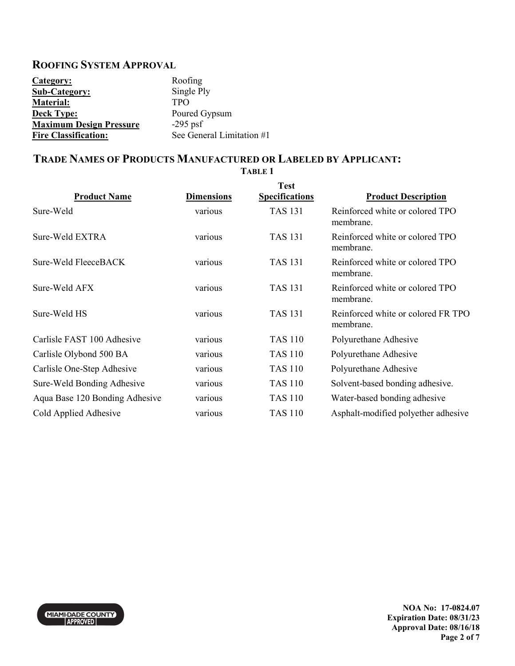### **ROOFING SYSTEM APPROVAL**

| Category:                      | Roofing                   |
|--------------------------------|---------------------------|
| <b>Sub-Category:</b>           | Single Ply                |
| <b>Material:</b>               | <b>TPO</b>                |
| <b>Deck Type:</b>              | Poured Gypsum             |
| <b>Maximum Design Pressure</b> | $-295$ psf                |
| <b>Fire Classification:</b>    | See General Limitation #1 |

## **TRADE NAMES OF PRODUCTS MANUFACTURED OR LABELED BY APPLICANT:**

| <b>Product Name</b>            | <b>Dimensions</b> | <b>Test</b><br><b>Specifications</b> | <b>Product Description</b>                      |
|--------------------------------|-------------------|--------------------------------------|-------------------------------------------------|
| Sure-Weld                      | various           | <b>TAS 131</b>                       | Reinforced white or colored TPO<br>membrane.    |
| Sure-Weld EXTRA                | various           | <b>TAS 131</b>                       | Reinforced white or colored TPO<br>membrane.    |
| Sure-Weld FleeceBACK           | various           | <b>TAS 131</b>                       | Reinforced white or colored TPO<br>membrane.    |
| Sure-Weld AFX                  | various           | <b>TAS 131</b>                       | Reinforced white or colored TPO<br>membrane.    |
| Sure-Weld HS                   | various           | <b>TAS 131</b>                       | Reinforced white or colored FR TPO<br>membrane. |
| Carlisle FAST 100 Adhesive     | various           | <b>TAS 110</b>                       | Polyurethane Adhesive                           |
| Carlisle Olybond 500 BA        | various           | <b>TAS 110</b>                       | Polyurethane Adhesive                           |
| Carlisle One-Step Adhesive     | various           | TAS 110                              | Polyurethane Adhesive                           |
| Sure-Weld Bonding Adhesive     | various           | <b>TAS 110</b>                       | Solvent-based bonding adhesive.                 |
| Aqua Base 120 Bonding Adhesive | various           | <b>TAS 110</b>                       | Water-based bonding adhesive                    |
| Cold Applied Adhesive          | various           | <b>TAS 110</b>                       | Asphalt-modified polyether adhesive             |

**TABLE 1** 



**NOA No: 17-0824.07 Expiration Date: 08/31/23 Approval Date: 08/16/18 Page 2 of 7**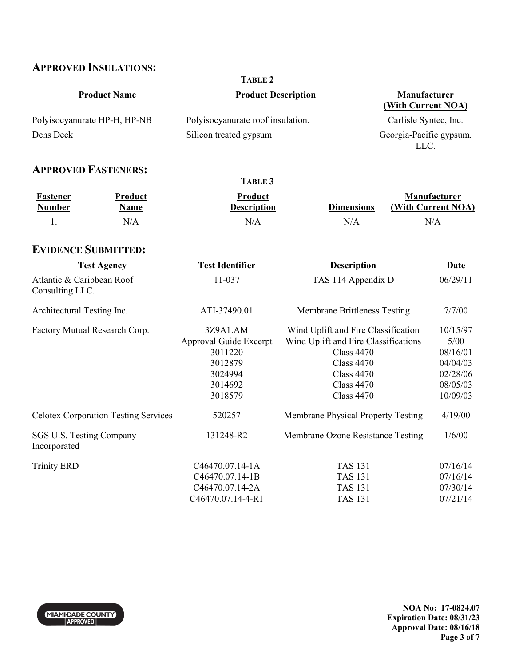## **APPROVED INSULATIONS:**

|                                              |                               | <b>TABLE 2</b>                                |                                                                                           |                                    |
|----------------------------------------------|-------------------------------|-----------------------------------------------|-------------------------------------------------------------------------------------------|------------------------------------|
| <b>Product Name</b>                          |                               | <b>Product Description</b>                    |                                                                                           | Manufacturer<br>(With Current NOA) |
|                                              | Polyisocyanurate HP-H, HP-NB  | Polyisocyanurate roof insulation.             |                                                                                           | Carlisle Syntec, Inc.              |
| Dens Deck                                    |                               | Silicon treated gypsum                        |                                                                                           | Georgia-Pacific gypsum,<br>LLC.    |
| <b>APPROVED FASTENERS:</b>                   |                               |                                               |                                                                                           |                                    |
|                                              |                               | TABLE 3                                       |                                                                                           |                                    |
| <b>Fastener</b><br><b>Number</b>             | <b>Product</b><br><b>Name</b> | Product<br><b>Description</b>                 | <b>Dimensions</b>                                                                         | Manufacturer<br>(With Current NOA) |
| 1.                                           | N/A                           | N/A                                           | N/A                                                                                       | N/A                                |
| <b>EVIDENCE SUBMITTED:</b>                   |                               |                                               |                                                                                           |                                    |
|                                              | <b>Test Agency</b>            | <b>Test Identifier</b>                        | <b>Description</b>                                                                        | <b>Date</b>                        |
| Atlantic & Caribbean Roof<br>Consulting LLC. |                               | 11-037                                        | TAS 114 Appendix D                                                                        | 06/29/11                           |
| Architectural Testing Inc.                   |                               | ATI-37490.01                                  | <b>Membrane Brittleness Testing</b>                                                       | 7/7/00                             |
| <b>Factory Mutual Research Corp.</b>         |                               | 3Z9A1.AM<br>Approval Guide Excerpt<br>3011220 | Wind Uplift and Fire Classification<br>Wind Uplift and Fire Classifications<br>Class 4470 | 10/15/97<br>5/00<br>08/16/01       |

| 3011220           | Class 4470                         | 08/16/01 |
|-------------------|------------------------------------|----------|
| 3012879           | <b>Class 4470</b>                  | 04/04/03 |
| 3024994           | Class $4470$                       | 02/28/06 |
| 3014692           | Class $4470$                       | 08/05/03 |
| 3018579           | Class $4470$                       | 10/09/03 |
| 520257            | Membrane Physical Property Testing | 4/19/00  |
| 131248-R2         | Membrane Ozone Resistance Testing  | 1/6/00   |
| C46470.07.14-1A   | <b>TAS 131</b>                     | 07/16/14 |
| $C46470.07.14-1B$ | <b>TAS 131</b>                     | 07/16/14 |
| C46470.07.14-2A   | <b>TAS 131</b>                     | 07/30/14 |
| C46470.07.14-4-R1 | TAS 131                            | 07/21/14 |
|                   |                                    |          |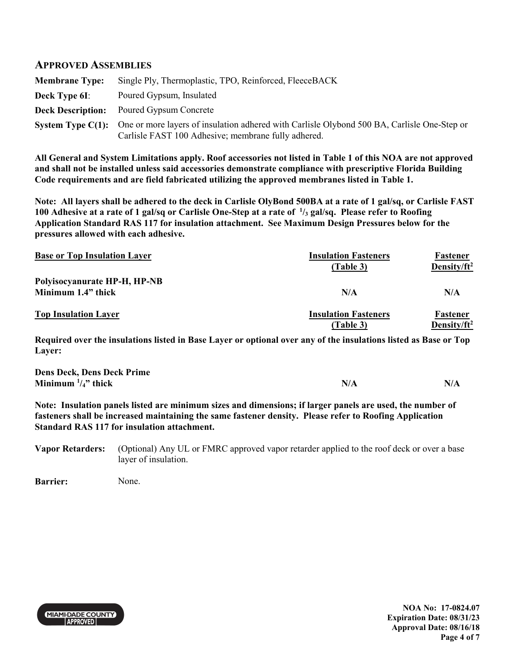#### **APPROVED ASSEMBLIES**

| <b>Membrane Type:</b> | Single Ply, Thermoplastic, TPO, Reinforced, FleeceBACK                                                                                                               |
|-----------------------|----------------------------------------------------------------------------------------------------------------------------------------------------------------------|
| <b>Deck Type 6I:</b>  | Poured Gypsum, Insulated                                                                                                                                             |
|                       | <b>Deck Description:</b> Poured Gypsum Concrete                                                                                                                      |
|                       | System Type C(1): One or more layers of insulation adhered with Carlisle Olybond 500 BA, Carlisle One-Step or<br>Carlisle FAST 100 Adhesive; membrane fully adhered. |

**All General and System Limitations apply. Roof accessories not listed in Table 1 of this NOA are not approved and shall not be installed unless said accessories demonstrate compliance with prescriptive Florida Building Code requirements and are field fabricated utilizing the approved membranes listed in Table 1.** 

**Note: All layers shall be adhered to the deck in Carlisle OlyBond 500BA at a rate of 1 gal/sq, or Carlisle FAST 100 Adhesive at a rate of 1 gal/sq or Carlisle One-Step at a rate of <sup>1</sup> /3 gal/sq. Please refer to Roofing Application Standard RAS 117 for insulation attachment. See Maximum Design Pressures below for the pressures allowed with each adhesive.**

| <b>Base or Top Insulation Layer</b> | <b>Insulation Fasteners</b><br>(Table 3) | Fastener<br>Density/ft <sup>2</sup> |
|-------------------------------------|------------------------------------------|-------------------------------------|
| Polyisocyanurate HP-H, HP-NB        |                                          |                                     |
| Minimum 1.4" thick                  | N/A                                      | N/A                                 |
| <b>Top Insulation Layer</b>         | <b>Insulation Fasteners</b>              | Fastener                            |
|                                     | (Table 3)                                | Density/ft <sup>2</sup>             |

**Required over the insulations listed in Base Layer or optional over any of the insulations listed as Base or Top Layer:** 

| <b>Dens Deck, Dens Deck Prime</b> |     |     |
|-----------------------------------|-----|-----|
| Minimum $\frac{1}{4}$ , thick     | N/A | N/A |

**Note: Insulation panels listed are minimum sizes and dimensions; if larger panels are used, the number of fasteners shall be increased maintaining the same fastener density. Please refer to Roofing Application Standard RAS 117 for insulation attachment.** 

**Vapor Retarders:** (Optional) Any UL or FMRC approved vapor retarder applied to the roof deck or over a base layer of insulation.

**Barrier:** None.



**NOA No: 17-0824.07 Expiration Date: 08/31/23 Approval Date: 08/16/18 Page 4 of 7**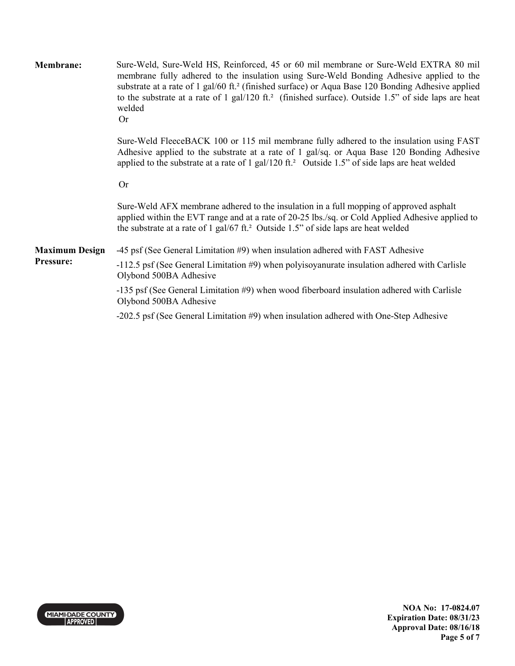| Membrane:             | Sure-Weld, Sure-Weld HS, Reinforced, 45 or 60 mil membrane or Sure-Weld EXTRA 80 mil<br>membrane fully adhered to the insulation using Sure-Weld Bonding Adhesive applied to the<br>substrate at a rate of 1 gal/60 ft. <sup>2</sup> (finished surface) or Aqua Base 120 Bonding Adhesive applied<br>to the substrate at a rate of 1 gal/120 ft. <sup>2</sup> (finished surface). Outside 1.5" of side laps are heat<br>welded<br><b>Or</b> |
|-----------------------|---------------------------------------------------------------------------------------------------------------------------------------------------------------------------------------------------------------------------------------------------------------------------------------------------------------------------------------------------------------------------------------------------------------------------------------------|
|                       | Sure-Weld FleeceBACK 100 or 115 mil membrane fully adhered to the insulation using FAST<br>Adhesive applied to the substrate at a rate of 1 gal/sq. or Aqua Base 120 Bonding Adhesive<br>applied to the substrate at a rate of 1 gal/120 ft. <sup>2</sup> Outside 1.5" of side laps are heat welded                                                                                                                                         |
|                       | <b>Or</b>                                                                                                                                                                                                                                                                                                                                                                                                                                   |
|                       | Sure-Weld AFX membrane adhered to the insulation in a full mopping of approved asphalt<br>applied within the EVT range and at a rate of 20-25 lbs./sq. or Cold Applied Adhesive applied to<br>the substrate at a rate of 1 gal/67 ft. <sup>2</sup> Outside 1.5" of side laps are heat welded                                                                                                                                                |
| <b>Maximum Design</b> | -45 psf (See General Limitation #9) when insulation adhered with FAST Adhesive                                                                                                                                                                                                                                                                                                                                                              |
| Pressure:             | -112.5 psf (See General Limitation #9) when polyisoyanurate insulation adhered with Carlisle<br>Olybond 500BA Adhesive                                                                                                                                                                                                                                                                                                                      |
|                       | -135 psf (See General Limitation #9) when wood fiberboard insulation adhered with Carlisle<br>Olybond 500BA Adhesive                                                                                                                                                                                                                                                                                                                        |
|                       | -202.5 psf (See General Limitation #9) when insulation adhered with One-Step Adhesive                                                                                                                                                                                                                                                                                                                                                       |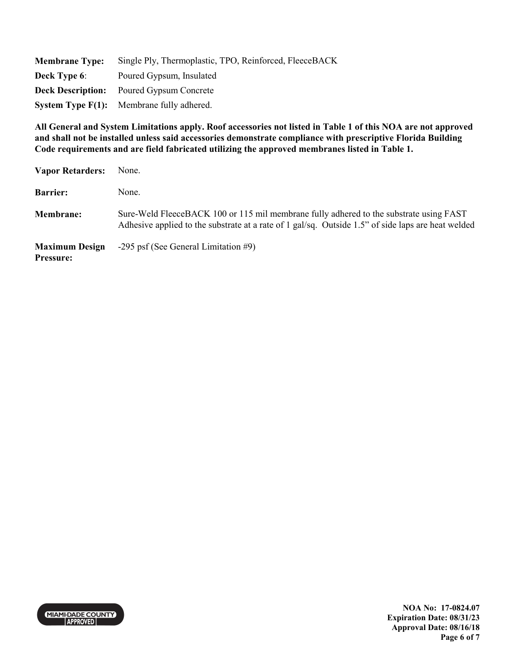| <b>Membrane Type:</b> | Single Ply, Thermoplastic, TPO, Reinforced, FleeceBACK        |
|-----------------------|---------------------------------------------------------------|
| <b>Deck Type 6:</b>   | Poured Gypsum, Insulated                                      |
|                       | <b>Deck Description:</b> Poured Gypsum Concrete               |
|                       | <b>System Type <math>F(1)</math>:</b> Membrane fully adhered. |

**All General and System Limitations apply. Roof accessories not listed in Table 1 of this NOA are not approved and shall not be installed unless said accessories demonstrate compliance with prescriptive Florida Building Code requirements and are field fabricated utilizing the approved membranes listed in Table 1.** 

| <b>Vapor Retarders:</b>                   | None.                                                                                                                                                                                        |
|-------------------------------------------|----------------------------------------------------------------------------------------------------------------------------------------------------------------------------------------------|
| <b>Barrier:</b>                           | None.                                                                                                                                                                                        |
| <b>Membrane:</b>                          | Sure-Weld FleeceBACK 100 or 115 mil membrane fully adhered to the substrate using FAST<br>Adhesive applied to the substrate at a rate of 1 gal/sq. Outside 1.5" of side laps are heat welded |
| <b>Maximum Design</b><br><b>Pressure:</b> | $-295$ psf (See General Limitation #9)                                                                                                                                                       |



**NOA No: 17-0824.07 Expiration Date: 08/31/23 Approval Date: 08/16/18 Page 6 of 7**